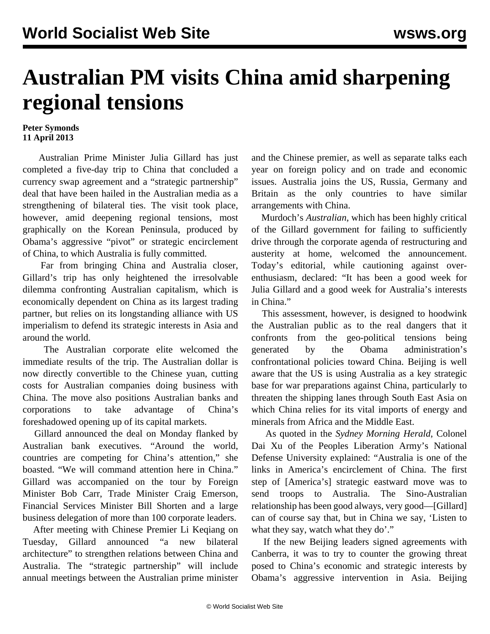## **Australian PM visits China amid sharpening regional tensions**

## **Peter Symonds 11 April 2013**

 Australian Prime Minister Julia Gillard has just completed a five-day trip to China that concluded a currency swap agreement and a "strategic partnership" deal that have been hailed in the Australian media as a strengthening of bilateral ties. The visit took place, however, amid deepening regional tensions, most graphically on the Korean Peninsula, produced by Obama's aggressive "pivot" or strategic encirclement of China, to which Australia is fully committed.

 Far from bringing China and Australia closer, Gillard's trip has only heightened the irresolvable dilemma confronting Australian capitalism, which is economically dependent on China as its largest trading partner, but relies on its longstanding alliance with US imperialism to defend its strategic interests in Asia and around the world.

 The Australian corporate elite welcomed the immediate results of the trip. The Australian dollar is now directly convertible to the Chinese yuan, cutting costs for Australian companies doing business with China. The move also positions Australian banks and corporations to take advantage of China's foreshadowed opening up of its capital markets.

 Gillard announced the deal on Monday flanked by Australian bank executives. "Around the world, countries are competing for China's attention," she boasted. "We will command attention here in China." Gillard was accompanied on the tour by Foreign Minister Bob Carr, Trade Minister Craig Emerson, Financial Services Minister Bill Shorten and a large business delegation of more than 100 corporate leaders.

 After meeting with Chinese Premier Li Keqiang on Tuesday, Gillard announced "a new bilateral architecture" to strengthen relations between China and Australia. The "strategic partnership" will include annual meetings between the Australian prime minister and the Chinese premier, as well as separate talks each year on foreign policy and on trade and economic issues. Australia joins the US, Russia, Germany and Britain as the only countries to have similar arrangements with China.

 Murdoch's *Australian*, which has been highly critical of the Gillard government for failing to sufficiently drive through the corporate agenda of restructuring and austerity at home, welcomed the announcement. Today's editorial, while cautioning against overenthusiasm, declared: "It has been a good week for Julia Gillard and a good week for Australia's interests in China."

 This assessment, however, is designed to hoodwink the Australian public as to the real dangers that it confronts from the geo-political tensions being generated by the Obama administration's confrontational policies toward China. Beijing is well aware that the US is using Australia as a key strategic base for war preparations against China, particularly to threaten the shipping lanes through South East Asia on which China relies for its vital imports of energy and minerals from Africa and the Middle East.

 As quoted in the *Sydney Morning Herald*, Colonel Dai Xu of the Peoples Liberation Army's National Defense University explained: "Australia is one of the links in America's encirclement of China. The first step of [America's] strategic eastward move was to send troops to Australia. The Sino-Australian relationship has been good always, very good—[Gillard] can of course say that, but in China we say, 'Listen to what they say, watch what they do'."

 If the new Beijing leaders signed agreements with Canberra, it was to try to counter the growing threat posed to China's economic and strategic interests by Obama's aggressive intervention in Asia. Beijing